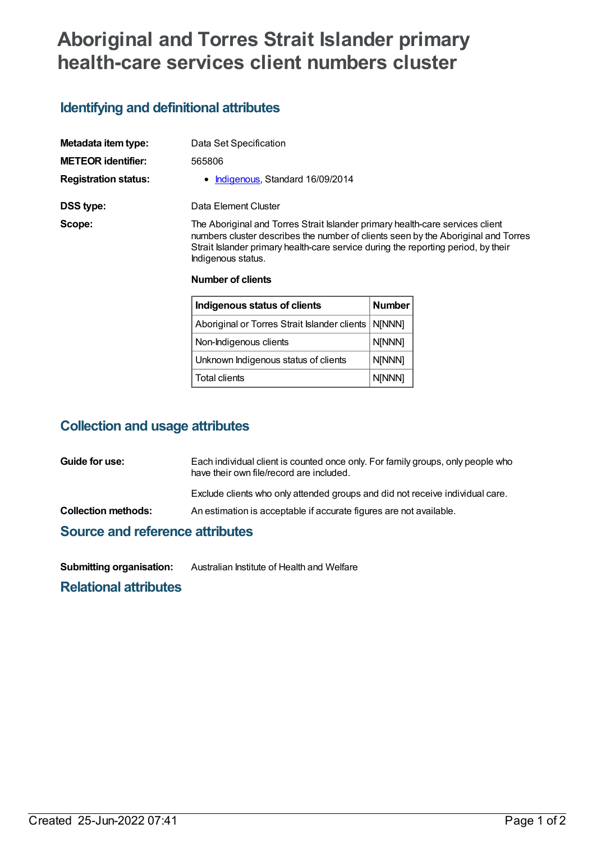# **Aboriginal and Torres Strait Islander primary health-care services client numbers cluster**

## **Identifying and definitional attributes**

| Metadata item type:         | Data Set Specification                                                                                                                                                                                                                                                        |
|-----------------------------|-------------------------------------------------------------------------------------------------------------------------------------------------------------------------------------------------------------------------------------------------------------------------------|
| <b>METEOR</b> identifier:   | 565806                                                                                                                                                                                                                                                                        |
| <b>Registration status:</b> | Indigenous, Standard 16/09/2014                                                                                                                                                                                                                                               |
| DSS type:                   | Data Element Cluster                                                                                                                                                                                                                                                          |
| Scope:                      | The Aboriginal and Torres Strait Islander primary health-care services client<br>numbers cluster describes the number of clients seen by the Aboriginal and Torres<br>Strait Islander primary health-care service during the reporting period, by their<br>Indigenous status. |
|                             | <b>Number of clients</b>                                                                                                                                                                                                                                                      |
|                             | $\sim$ $\sim$<br>- -                                                                                                                                                                                                                                                          |

| Indigenous status of clients                          | <b>Number</b> |
|-------------------------------------------------------|---------------|
| Aboriginal or Torres Strait Islander clients   NJNNN] |               |
| Non-Indigenous clients                                | N[NNN]        |
| Unknown Indigenous status of clients                  | N[NNN]        |
| <b>Total clients</b>                                  | N[NNN]        |

## **Collection and usage attributes**

| Guide for use:                         | Each individual client is counted once only. For family groups, only people who<br>have their own file/record are included. |
|----------------------------------------|-----------------------------------------------------------------------------------------------------------------------------|
|                                        | Exclude clients who only attended groups and did not receive individual care.                                               |
| <b>Collection methods:</b>             | An estimation is acceptable if accurate figures are not available.                                                          |
| <b>Source and reference attributes</b> |                                                                                                                             |

**Submitting organisation:** Australian Institute of Health and Welfare

**Relational attributes**